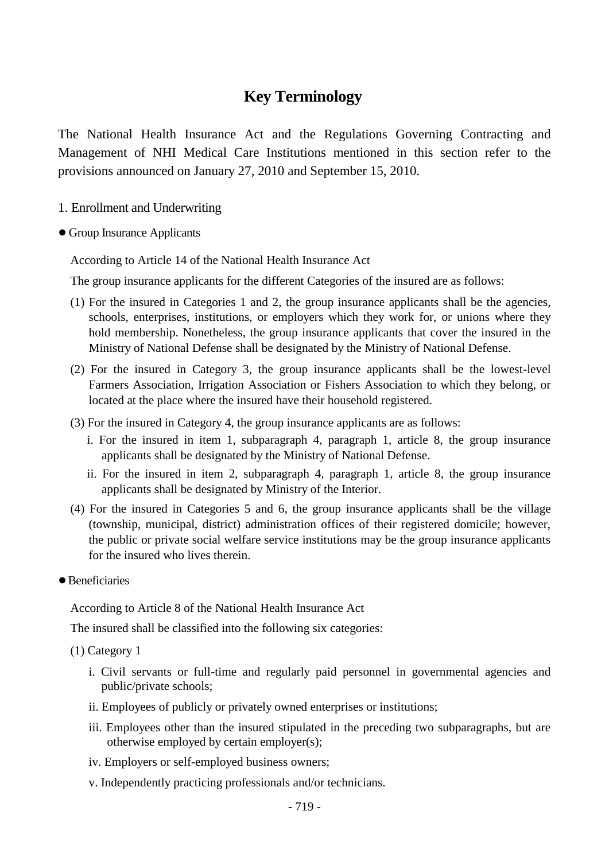## **Key Terminology**

The National Health Insurance Act and the Regulations Governing Contracting and Management of NHI Medical Care Institutions mentioned in this section refer to the provisions announced on January 27, 2010 and September 15, 2010.

- 1. Enrollment and Underwriting
- Group Insurance Applicants

According to Article 14 of the National Health Insurance Act

The group insurance applicants for the different Categories of the insured are as follows:

- (1) For the insured in Categories 1 and 2, the group insurance applicants shall be the agencies, schools, enterprises, institutions, or employers which they work for, or unions where they hold membership. Nonetheless, the group insurance applicants that cover the insured in the Ministry of National Defense shall be designated by the Ministry of National Defense.
- (2) For the insured in Category 3, the group insurance applicants shall be the lowest-level Farmers Association, Irrigation Association or Fishers Association to which they belong, or located at the place where the insured have their household registered.
- (3) For the insured in Category 4, the group insurance applicants are as follows:
	- i. For the insured in item 1, subparagraph 4, paragraph 1, article 8, the group insurance applicants shall be designated by the Ministry of National Defense.
	- ii. For the insured in item 2, subparagraph 4, paragraph 1, article 8, the group insurance applicants shall be designated by Ministry of the Interior.
- (4) For the insured in Categories 5 and 6, the group insurance applicants shall be the village (township, municipal, district) administration offices of their registered domicile; however, the public or private social welfare service institutions may be the group insurance applicants for the insured who lives therein.
- Beneficiaries

According to Article 8 of the National Health Insurance Act

The insured shall be classified into the following six categories:

(1) Category 1

- i. Civil servants or full-time and regularly paid personnel in governmental agencies and public/private schools;
- ii. Employees of publicly or privately owned enterprises or institutions;
- iii. Employees other than the insured stipulated in the preceding two subparagraphs, but are otherwise employed by certain employer(s);
- iv. Employers or self-employed business owners;
- v. Independently practicing professionals and/or technicians.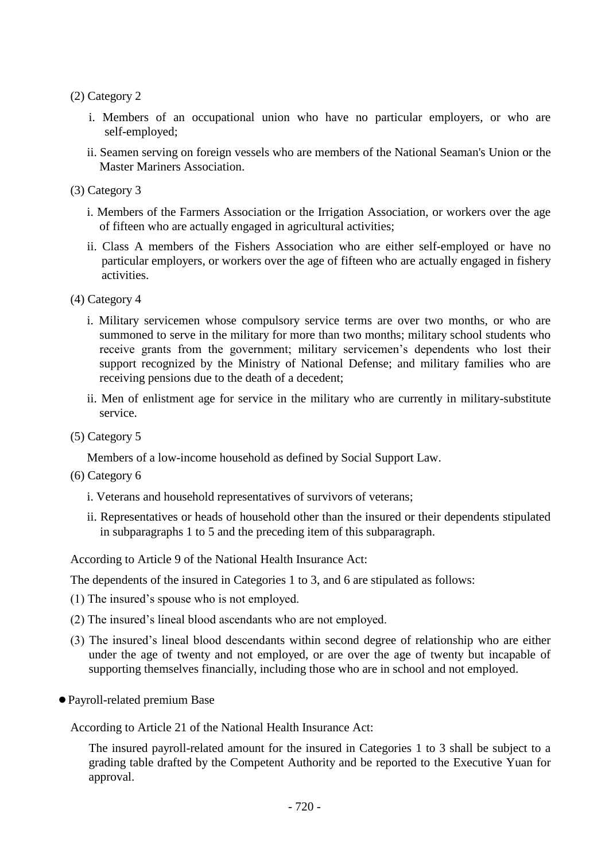(2) Category 2

- i. Members of an occupational union who have no particular employers, or who are self-employed;
- ii. Seamen serving on foreign vessels who are members of the National Seaman's Union or the Master Mariners Association.

(3) Category 3

- i. Members of the Farmers Association or the Irrigation Association, or workers over the age of fifteen who are actually engaged in agricultural activities;
- ii. Class A members of the Fishers Association who are either self-employed or have no particular employers, or workers over the age of fifteen who are actually engaged in fishery activities.

(4) Category 4

- i. Military servicemen whose compulsory service terms are over two months, or who are summoned to serve in the military for more than two months; military school students who receive grants from the government; military servicemen's dependents who lost their support recognized by the Ministry of National Defense; and military families who are receiving pensions due to the death of a decedent;
- ii. Men of enlistment age for service in the military who are currently in military-substitute service.
- (5) Category 5

Members of a low-income household as defined by Social Support Law.

- (6) Category 6
	- i. Veterans and household representatives of survivors of veterans;
	- ii. Representatives or heads of household other than the insured or their dependents stipulated in subparagraphs 1 to 5 and the preceding item of this subparagraph.

According to Article 9 of the National Health Insurance Act:

The dependents of the insured in Categories 1 to 3, and 6 are stipulated as follows:

- (1) The insured's spouse who is not employed.
- (2) The insured's lineal blood ascendants who are not employed.
- (3) The insured's lineal blood descendants within second degree of relationship who are either under the age of twenty and not employed, or are over the age of twenty but incapable of supporting themselves financially, including those who are in school and not employed.
- ●Payroll-related premium Base

According to Article 21 of the National Health Insurance Act:

The insured payroll-related amount for the insured in Categories 1 to 3 shall be subject to a grading table drafted by the Competent Authority and be reported to the Executive Yuan for approval.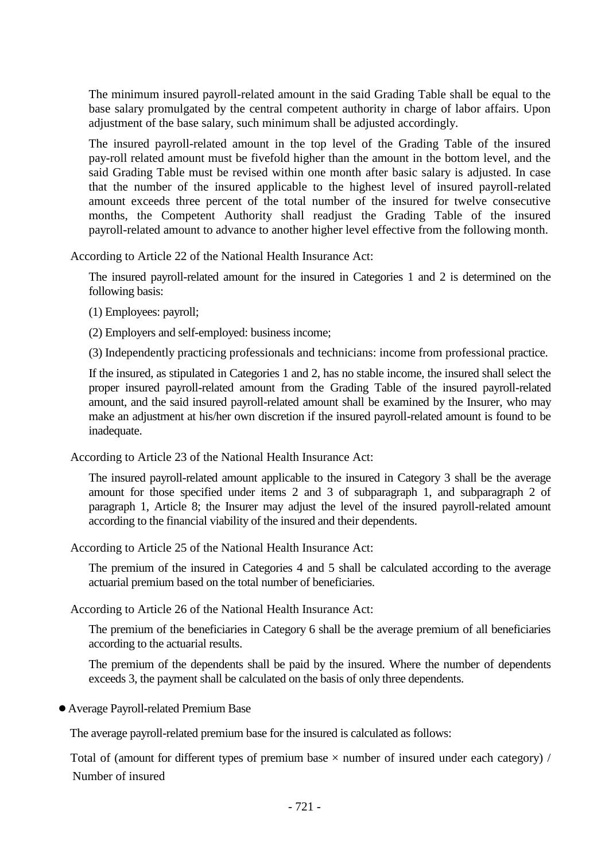The minimum insured payroll-related amount in the said Grading Table shall be equal to the base salary promulgated by the central competent authority in charge of labor affairs. Upon adjustment of the base salary, such minimum shall be adjusted accordingly.

The insured payroll-related amount in the top level of the Grading Table of the insured pay-roll related amount must be fivefold higher than the amount in the bottom level, and the said Grading Table must be revised within one month after basic salary is adjusted. In case that the number of the insured applicable to the highest level of insured payroll-related amount exceeds three percent of the total number of the insured for twelve consecutive months, the Competent Authority shall readjust the Grading Table of the insured payroll-related amount to advance to another higher level effective from the following month.

According to Article 22 of the National Health Insurance Act:

The insured payroll-related amount for the insured in Categories 1 and 2 is determined on the following basis:

- (1) Employees: payroll;
- (2) Employers and self-employed: business income;
- (3) Independently practicing professionals and technicians: income from professional practice.

If the insured, as stipulated in Categories 1 and 2, has no stable income, the insured shall select the proper insured payroll-related amount from the Grading Table of the insured payroll-related amount, and the said insured payroll-related amount shall be examined by the Insurer, who may make an adjustment at his/her own discretion if the insured payroll-related amount is found to be inadequate.

According to Article 23 of the National Health Insurance Act:

The insured payroll-related amount applicable to the insured in Category 3 shall be the average amount for those specified under items 2 and 3 of subparagraph 1, and subparagraph 2 of paragraph 1, Article 8; the Insurer may adjust the level of the insured payroll-related amount according to the financial viability of the insured and their dependents.

According to Article 25 of the National Health Insurance Act:

The premium of the insured in Categories 4 and 5 shall be calculated according to the average actuarial premium based on the total number of beneficiaries.

According to Article 26 of the National Health Insurance Act:

The premium of the beneficiaries in Category 6 shall be the average premium of all beneficiaries according to the actuarial results.

The premium of the dependents shall be paid by the insured. Where the number of dependents exceeds 3, the payment shall be calculated on the basis of only three dependents.

●Average Payroll-related Premium Base

The average payroll-related premium base for the insured is calculated as follows:

Total of (amount for different types of premium base  $\times$  number of insured under each category) / Number of insured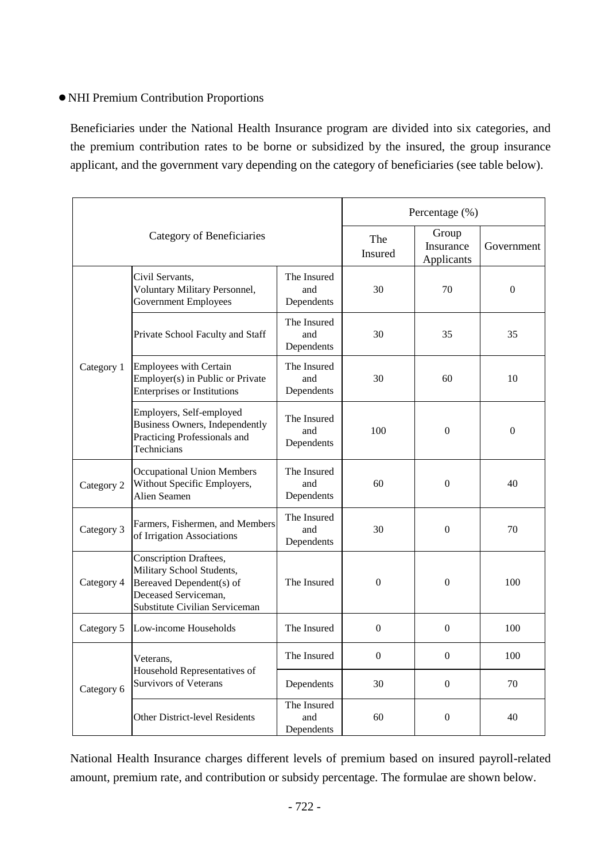## ●NHI Premium Contribution Proportions

Beneficiaries under the National Health Insurance program are divided into six categories, and the premium contribution rates to be borne or subsidized by the insured, the group insurance applicant, and the government vary depending on the category of beneficiaries (see table below).

| Category of Beneficiaries |                                                                                                                                           |                                  | Percentage (%)   |                                  |                  |
|---------------------------|-------------------------------------------------------------------------------------------------------------------------------------------|----------------------------------|------------------|----------------------------------|------------------|
|                           |                                                                                                                                           |                                  | The<br>Insured   | Group<br>Insurance<br>Applicants | Government       |
| Category 1                | Civil Servants,<br>Voluntary Military Personnel,<br><b>Government Employees</b>                                                           | The Insured<br>and<br>Dependents | 30               | 70                               | $\boldsymbol{0}$ |
|                           | Private School Faculty and Staff                                                                                                          | The Insured<br>and<br>Dependents | 30               | 35                               | 35               |
|                           | <b>Employees with Certain</b><br>Employer(s) in Public or Private<br><b>Enterprises or Institutions</b>                                   | The Insured<br>and<br>Dependents | 30               | 60                               | 10               |
|                           | Employers, Self-employed<br><b>Business Owners, Independently</b><br>Practicing Professionals and<br>Technicians                          | The Insured<br>and<br>Dependents | 100              | $\boldsymbol{0}$                 | $\boldsymbol{0}$ |
| Category 2                | <b>Occupational Union Members</b><br>Without Specific Employers,<br>Alien Seamen                                                          | The Insured<br>and<br>Dependents | 60               | $\boldsymbol{0}$                 | 40               |
| Category 3                | Farmers, Fishermen, and Members<br>of Irrigation Associations                                                                             | The Insured<br>and<br>Dependents | 30               | $\boldsymbol{0}$                 | 70               |
| Category 4                | Conscription Draftees,<br>Military School Students,<br>Bereaved Dependent(s) of<br>Deceased Serviceman,<br>Substitute Civilian Serviceman | The Insured                      | $\boldsymbol{0}$ | $\boldsymbol{0}$                 | 100              |
| Category 5                | Low-income Households                                                                                                                     | The Insured                      | $\boldsymbol{0}$ | $\boldsymbol{0}$                 | 100              |
| Category 6                | Veterans,<br>Household Representatives of<br><b>Survivors of Veterans</b>                                                                 | The Insured                      | $\boldsymbol{0}$ | $\overline{0}$                   | 100              |
|                           |                                                                                                                                           | Dependents                       | 30               | $\boldsymbol{0}$                 | 70               |
|                           | Other District-level Residents                                                                                                            | The Insured<br>and<br>Dependents | 60               | $\boldsymbol{0}$                 | 40               |

National Health Insurance charges different levels of premium based on insured payroll-related amount, premium rate, and contribution or subsidy percentage. The formulae are shown below.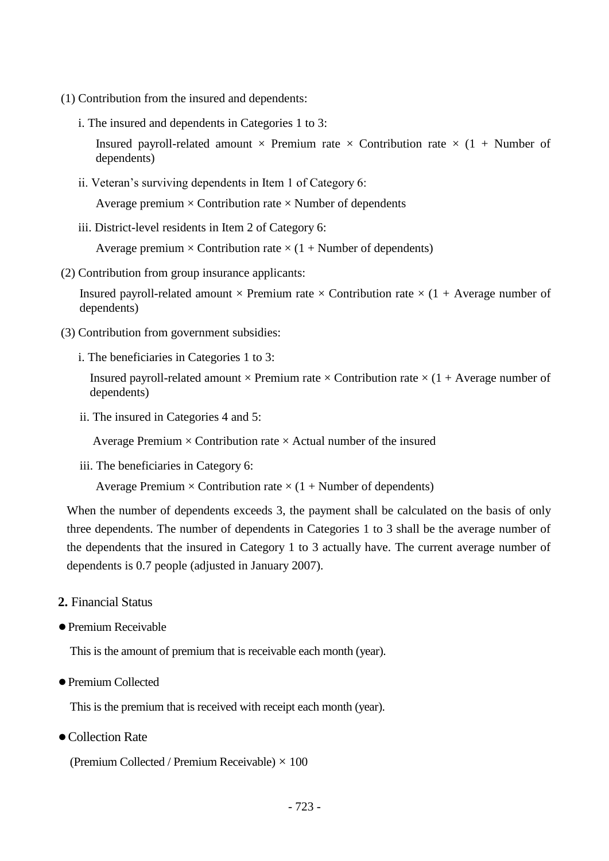- (1) Contribution from the insured and dependents:
	- i. The insured and dependents in Categories 1 to 3:

Insured payroll-related amount  $\times$  Premium rate  $\times$  Contribution rate  $\times$  (1 + Number of dependents)

ii. Veteran's surviving dependents in Item 1 of Category 6:

Average premium  $\times$  Contribution rate  $\times$  Number of dependents

iii. District-level residents in Item 2 of Category 6:

Average premium  $\times$  Contribution rate  $\times$  (1 + Number of dependents)

(2) Contribution from group insurance applicants:

Insured payroll-related amount  $\times$  Premium rate  $\times$  Contribution rate  $\times$  (1 + Average number of dependents)

- (3) Contribution from government subsidies:
	- i. The beneficiaries in Categories 1 to 3:

Insured payroll-related amount  $\times$  Premium rate  $\times$  Contribution rate  $\times$  (1 + Average number of dependents)

ii. The insured in Categories 4 and 5:

Average Premium  $\times$  Contribution rate  $\times$  Actual number of the insured

iii. The beneficiaries in Category 6:

Average Premium  $\times$  Contribution rate  $\times$  (1 + Number of dependents)

When the number of dependents exceeds 3, the payment shall be calculated on the basis of only three dependents. The number of dependents in Categories 1 to 3 shall be the average number of the dependents that the insured in Category 1 to 3 actually have. The current average number of dependents is 0.7 people (adjusted in January 2007).

- **2.** Financial Status
- ●Premium Receivable

This is the amount of premium that is receivable each month (year).

●Premium Collected

This is the premium that is received with receipt each month (year).

● Collection Rate

(Premium Collected / Premium Receivable)  $\times$  100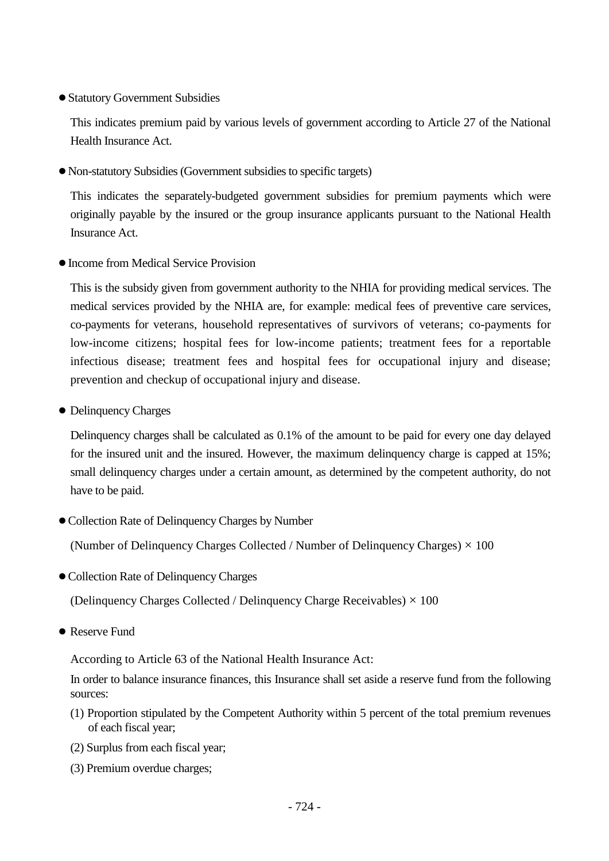## ●Statutory Government Subsidies

This indicates premium paid by various levels of government according to Article 27 of the National Health Insurance Act.

●Non-statutory Subsidies (Government subsidies to specific targets)

This indicates the separately-budgeted government subsidies for premium payments which were originally payable by the insured or the group insurance applicants pursuant to the National Health Insurance Act.

●Income from Medical Service Provision

This is the subsidy given from government authority to the NHIA for providing medical services. The medical services provided by the NHIA are, for example: medical fees of preventive care services, co-payments for veterans, household representatives of survivors of veterans; co-payments for low-income citizens; hospital fees for low-income patients; treatment fees for a reportable infectious disease; treatment fees and hospital fees for occupational injury and disease; prevention and checkup of occupational injury and disease.

● Delinquency Charges

Delinquency charges shall be calculated as 0.1% of the amount to be paid for every one day delayed for the insured unit and the insured. However, the maximum delinquency charge is capped at 15%; small delinquency charges under a certain amount, as determined by the competent authority, do not have to be paid.

●Collection Rate of Delinquency Charges by Number

(Number of Delinquency Charges Collected / Number of Delinquency Charges)  $\times$  100

●Collection Rate of Delinquency Charges

(Delinquency Charges Collected / Delinquency Charge Receivables)  $\times$  100

● Reserve Fund

According to Article 63 of the National Health Insurance Act:

In order to balance insurance finances, this Insurance shall set aside a reserve fund from the following sources:

- (1) Proportion stipulated by the Competent Authority within 5 percent of the total premium revenues of each fiscal year;
- (2) Surplus from each fiscal year;
- (3) Premium overdue charges;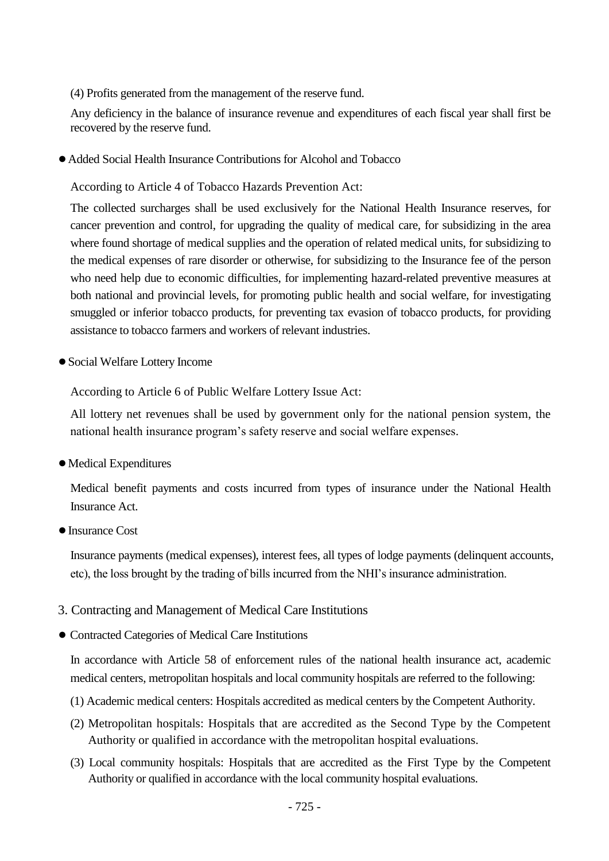(4) Profits generated from the management of the reserve fund.

Any deficiency in the balance of insurance revenue and expenditures of each fiscal year shall first be recovered by the reserve fund.

●Added Social Health Insurance Contributions for Alcohol and Tobacco

According to Article 4 of Tobacco Hazards Prevention Act:

The collected surcharges shall be used exclusively for the National Health Insurance reserves, for cancer prevention and control, for upgrading the quality of medical care, for subsidizing in the area where found shortage of medical supplies and the operation of related medical units, for subsidizing to the medical expenses of rare disorder or otherwise, for subsidizing to the Insurance fee of the person who need help due to economic difficulties, for implementing hazard-related preventive measures at both national and provincial levels, for promoting public health and social welfare, for investigating smuggled or inferior tobacco products, for preventing tax evasion of tobacco products, for providing assistance to tobacco farmers and workers of relevant industries.

●Social Welfare Lottery Income

According to Article 6 of Public Welfare Lottery Issue Act:

All lottery net revenues shall be used by government only for the national pension system, the national health insurance program's safety reserve and social welfare expenses.

●Medical Expenditures

Medical benefit payments and costs incurred from types of insurance under the National Health Insurance Act.

●Insurance Cost

Insurance payments (medical expenses), interest fees, all types of lodge payments (delinquent accounts, etc), the loss brought by the trading of bills incurred from the NHI's insurance administration.

- 3. Contracting and Management of Medical Care Institutions
- Contracted Categories of Medical Care Institutions

In accordance with Article 58 of enforcement rules of the national health insurance act, academic medical centers, metropolitan hospitals and local community hospitals are referred to the following:

- (1) Academic medical centers: Hospitals accredited as medical centers by the Competent Authority.
- (2) Metropolitan hospitals: Hospitals that are accredited as the Second Type by the Competent Authority or qualified in accordance with the metropolitan hospital evaluations.
- (3) Local community hospitals: Hospitals that are accredited as the First Type by the Competent Authority or qualified in accordance with the local community hospital evaluations.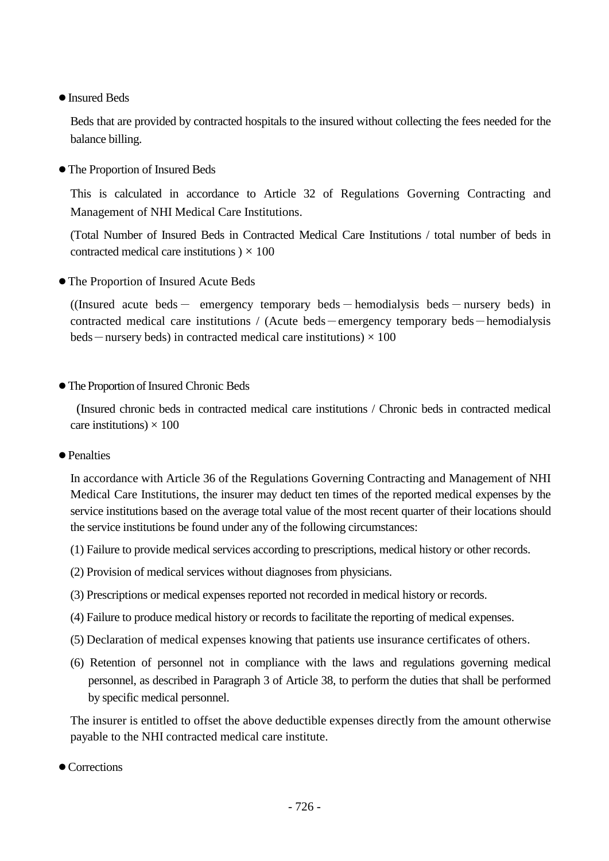●Insured Beds

Beds that are provided by contracted hospitals to the insured without collecting the fees needed for the balance billing.

●The Proportion of Insured Beds

This is calculated in accordance to Article 32 of Regulations Governing Contracting and Management of NHI Medical Care Institutions.

(Total Number of Insured Beds in Contracted Medical Care Institutions / total number of beds in contracted medical care institutions  $) \times 100$ 

●The Proportion of Insured Acute Beds

((Insured acute beds - emergency temporary beds - hemodialysis beds - nursery beds) in contracted medical care institutions / (Acute beds-emergency temporary beds-hemodialysis beds — nursery beds) in contracted medical care institutions)  $\times$  100

●The Proportion of Insured Chronic Beds

(Insured chronic beds in contracted medical care institutions / Chronic beds in contracted medical care institutions)  $\times$  100

● Penalties

In accordance with Article 36 of the Regulations Governing Contracting and Management of NHI Medical Care Institutions, the insurer may deduct ten times of the reported medical expenses by the service institutions based on the average total value of the most recent quarter of their locations should the service institutions be found under any of the following circumstances:

- (1) Failure to provide medical services according to prescriptions, medical history or other records.
- (2) Provision of medical services without diagnoses from physicians.
- (3) Prescriptions or medical expenses reported not recorded in medical history or records.
- (4) Failure to produce medical history or records to facilitate the reporting of medical expenses.
- (5) Declaration of medical expenses knowing that patients use insurance certificates of others.
- (6) Retention of personnel not in compliance with the laws and regulations governing medical personnel, as described in Paragraph 3 of Article 38, to perform the duties that shall be performed by specific medical personnel.

The insurer is entitled to offset the above deductible expenses directly from the amount otherwise payable to the NHI contracted medical care institute.

● Corrections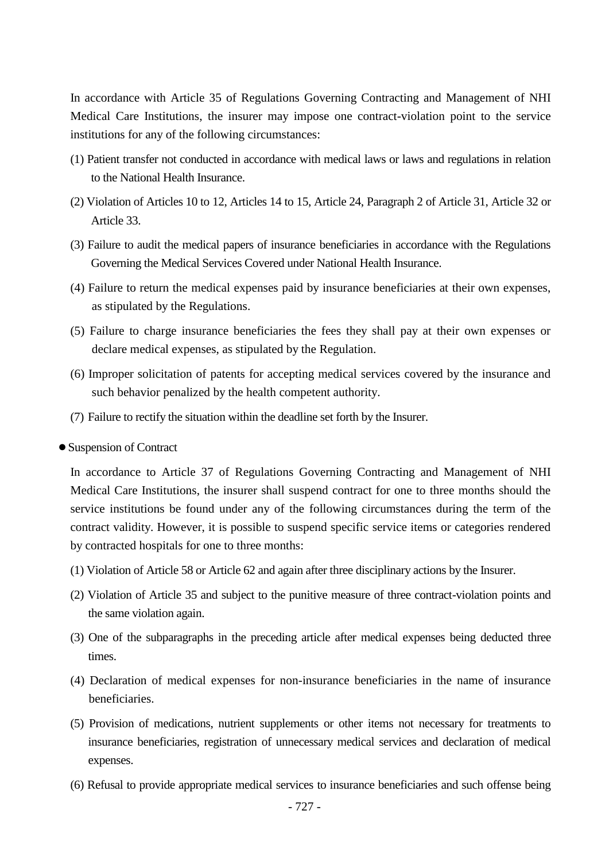In accordance with Article 35 of Regulations Governing Contracting and Management of NHI Medical Care Institutions, the insurer may impose one contract-violation point to the service institutions for any of the following circumstances:

- (1) Patient transfer not conducted in accordance with medical laws or laws and regulations in relation to the National Health Insurance.
- (2) Violation of Articles 10 to 12, Articles 14 to 15, Article 24, Paragraph 2 of Article 31, Article 32 or Article 33.
- (3) Failure to audit the medical papers of insurance beneficiaries in accordance with the Regulations Governing the Medical Services Covered under National Health Insurance.
- (4) Failure to return the medical expenses paid by insurance beneficiaries at their own expenses, as stipulated by the Regulations.
- (5) Failure to charge insurance beneficiaries the fees they shall pay at their own expenses or declare medical expenses, as stipulated by the Regulation.
- (6) Improper solicitation of patents for accepting medical services covered by the insurance and such behavior penalized by the health competent authority.
- (7) Failure to rectify the situation within the deadline set forth by the Insurer.
- ●Suspension of Contract

In accordance to Article 37 of Regulations Governing Contracting and Management of NHI Medical Care Institutions, the insurer shall suspend contract for one to three months should the service institutions be found under any of the following circumstances during the term of the contract validity. However, it is possible to suspend specific service items or categories rendered by contracted hospitals for one to three months:

- (1) Violation of Article 58 or Article 62 and again after three disciplinary actions by the Insurer.
- (2) Violation of Article 35 and subject to the punitive measure of three contract-violation points and the same violation again.
- (3) One of the subparagraphs in the preceding article after medical expenses being deducted three times.
- (4) Declaration of medical expenses for non-insurance beneficiaries in the name of insurance beneficiaries.
- (5) Provision of medications, nutrient supplements or other items not necessary for treatments to insurance beneficiaries, registration of unnecessary medical services and declaration of medical expenses.
- (6) Refusal to provide appropriate medical services to insurance beneficiaries and such offense being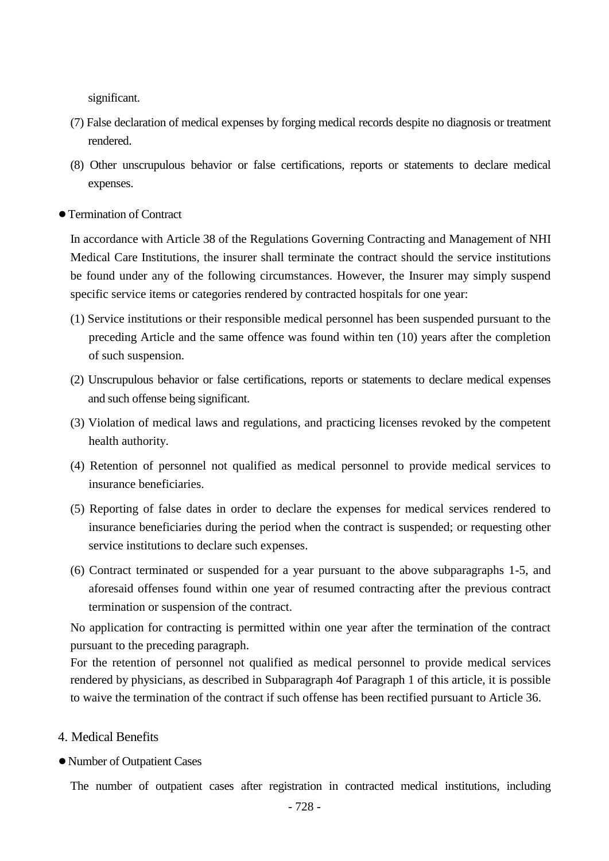significant.

- (7) False declaration of medical expenses by forging medical records despite no diagnosis or treatment rendered.
- (8) Other unscrupulous behavior or false certifications, reports or statements to declare medical expenses.
- ●Termination of Contract

In accordance with Article 38 of the Regulations Governing Contracting and Management of NHI Medical Care Institutions, the insurer shall terminate the contract should the service institutions be found under any of the following circumstances. However, the Insurer may simply suspend specific service items or categories rendered by contracted hospitals for one year:

- (1) Service institutions or their responsible medical personnel has been suspended pursuant to the preceding Article and the same offence was found within ten (10) years after the completion of such suspension.
- (2) Unscrupulous behavior or false certifications, reports or statements to declare medical expenses and such offense being significant.
- (3) Violation of medical laws and regulations, and practicing licenses revoked by the competent health authority.
- (4) Retention of personnel not qualified as medical personnel to provide medical services to insurance beneficiaries.
- (5) Reporting of false dates in order to declare the expenses for medical services rendered to insurance beneficiaries during the period when the contract is suspended; or requesting other service institutions to declare such expenses.
- (6) Contract terminated or suspended for a year pursuant to the above subparagraphs 1-5, and aforesaid offenses found within one year of resumed contracting after the previous contract termination or suspension of the contract.

No application for contracting is permitted within one year after the termination of the contract pursuant to the preceding paragraph.

For the retention of personnel not qualified as medical personnel to provide medical services rendered by physicians, as described in Subparagraph 4of Paragraph 1 of this article, it is possible to waive the termination of the contract if such offense has been rectified pursuant to Article 36.

- 4. Medical Benefits
- ●Number of Outpatient Cases

The number of outpatient cases after registration in contracted medical institutions, including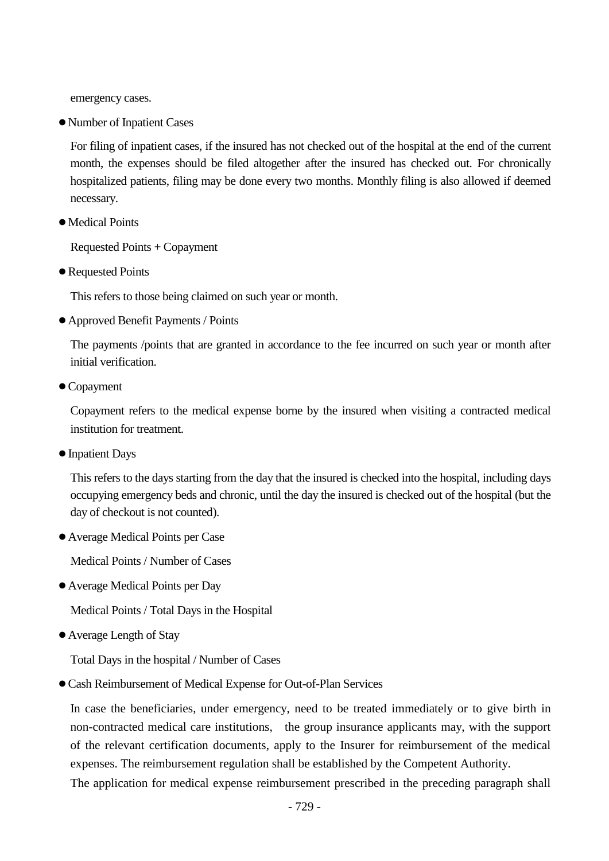emergency cases.

●Number of Inpatient Cases

For filing of inpatient cases, if the insured has not checked out of the hospital at the end of the current month, the expenses should be filed altogether after the insured has checked out. For chronically hospitalized patients, filing may be done every two months. Monthly filing is also allowed if deemed necessary.

●Medical Points

Requested Points + Copayment

● Requested Points

This refers to those being claimed on such year or month.

●Approved Benefit Payments / Points

The payments /points that are granted in accordance to the fee incurred on such year or month after initial verification.

● Copayment

Copayment refers to the medical expense borne by the insured when visiting a contracted medical institution for treatment.

●Inpatient Days

This refers to the days starting from the day that the insured is checked into the hospital, including days occupying emergency beds and chronic, until the day the insured is checked out of the hospital (but the day of checkout is not counted).

●Average Medical Points per Case

Medical Points / Number of Cases

●Average Medical Points per Day

Medical Points / Total Days in the Hospital

●Average Length of Stay

Total Days in the hospital / Number of Cases

●Cash Reimbursement of Medical Expense for Out-of-Plan Services

In case the beneficiaries, under emergency, need to be treated immediately or to give birth in non-contracted medical care institutions, the group insurance applicants may, with the support of the relevant certification documents, apply to the Insurer for reimbursement of the medical expenses. The reimbursement regulation shall be established by the Competent Authority.

The application for medical expense reimbursement prescribed in the preceding paragraph shall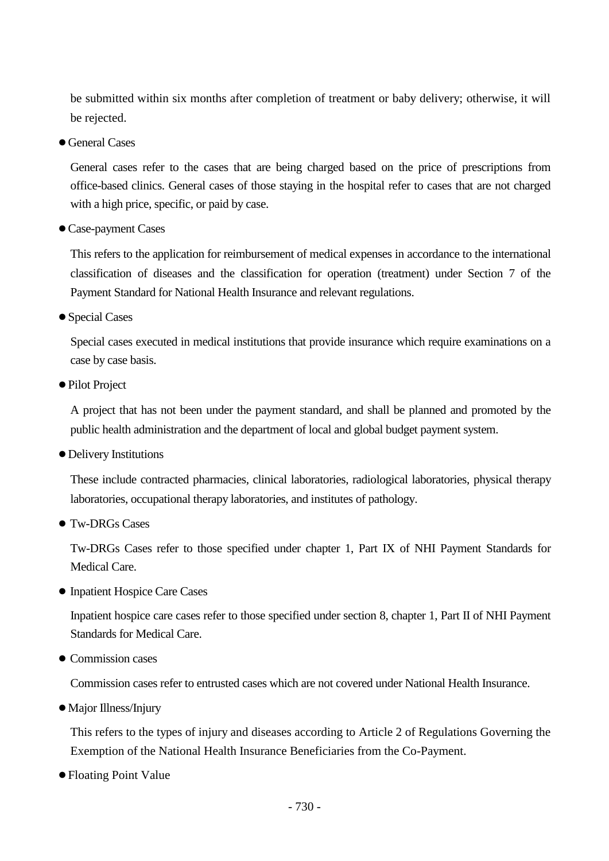be submitted within six months after completion of treatment or baby delivery; otherwise, it will be rejected.

● General Cases

General cases refer to the cases that are being charged based on the price of prescriptions from office-based clinics. General cases of those staying in the hospital refer to cases that are not charged with a high price, specific, or paid by case.

●Case-payment Cases

This refers to the application for reimbursement of medical expenses in accordance to the international classification of diseases and the classification for operation (treatment) under Section 7 of the Payment Standard for National Health Insurance and relevant regulations.

●Special Cases

Special cases executed in medical institutions that provide insurance which require examinations on a case by case basis.

● Pilot Project

A project that has not been under the payment standard, and shall be planned and promoted by the public health administration and the department of local and global budget payment system.

●Delivery Institutions

These include contracted pharmacies, clinical laboratories, radiological laboratories, physical therapy laboratories, occupational therapy laboratories, and institutes of pathology.

● Tw-DRGs Cases

Tw-DRGs Cases refer to those specified under chapter 1, Part IX of NHI Payment Standards for Medical Care.

● Inpatient Hospice Care Cases

Inpatient hospice care cases refer to those specified under section 8, chapter 1, Part II of NHI Payment Standards for Medical Care.

• Commission cases

Commission cases refer to entrusted cases which are not covered under National Health Insurance.

●Major Illness/Injury

This refers to the types of injury and diseases according to Article 2 of Regulations Governing the Exemption of the National Health Insurance Beneficiaries from the Co-Payment.

●Floating Point Value